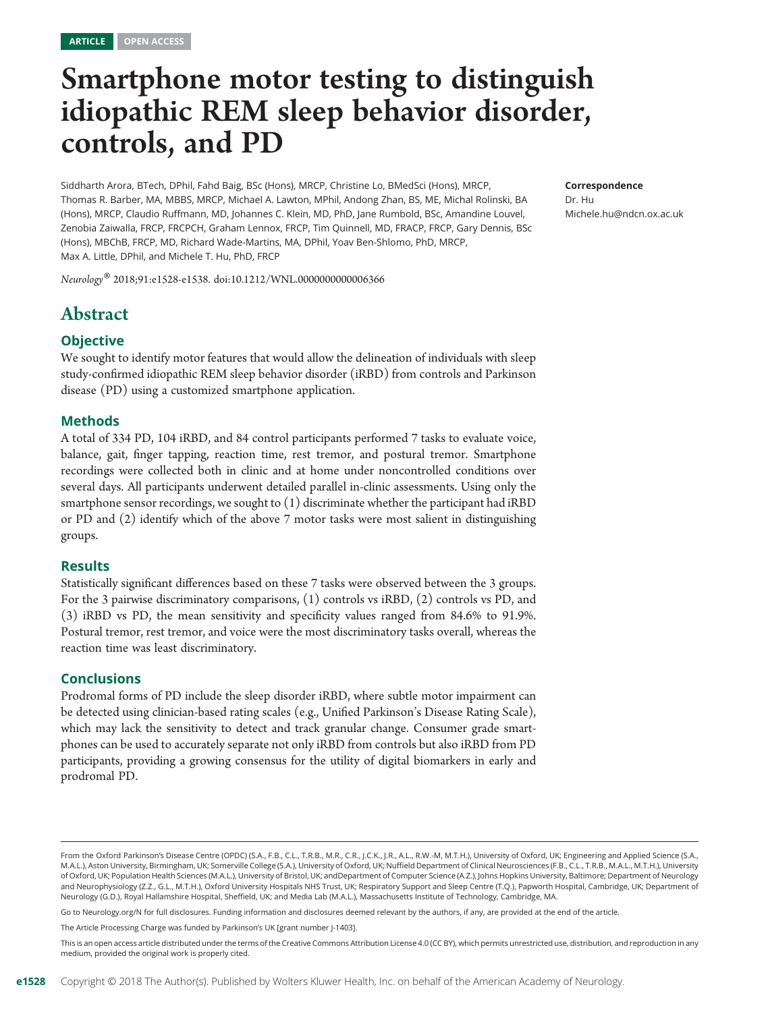# Smartphone motor testing to distinguish idiopathic REM sleep behavior disorder, controls, and PD

Siddharth Arora, BTech, DPhil, Fahd Baig, BSc (Hons), MRCP, Christine Lo, BMedSci (Hons), MRCP, Thomas R. Barber, MA, MBBS, MRCP, Michael A. Lawton, MPhil, Andong Zhan, BS, ME, Michal Rolinski, BA (Hons), MRCP, Claudio Ruffmann, MD, Johannes C. Klein, MD, PhD, Jane Rumbold, BSc, Amandine Louvel, Zenobia Zaiwalla, FRCP, FRCPCH, Graham Lennox, FRCP, Tim Quinnell, MD, FRACP, FRCP, Gary Dennis, BSc (Hons), MBChB, FRCP, MD, Richard Wade-Martins, MA, DPhil, Yoav Ben-Shlomo, PhD, MRCP, Max A. Little, DPhil, and Michele T. Hu, PhD, FRCP

Neurology® 2018;91:e1528-e1538. doi[:10.1212/WNL.0000000000006366](http://dx.doi.org/10.1212/WNL.0000000000006366)

# Abstract

#### **Objective**

We sought to identify motor features that would allow the delineation of individuals with sleep study-confirmed idiopathic REM sleep behavior disorder (iRBD) from controls and Parkinson disease (PD) using a customized smartphone application.

#### Methods

A total of 334 PD, 104 iRBD, and 84 control participants performed 7 tasks to evaluate voice, balance, gait, finger tapping, reaction time, rest tremor, and postural tremor. Smartphone recordings were collected both in clinic and at home under noncontrolled conditions over several days. All participants underwent detailed parallel in-clinic assessments. Using only the smartphone sensor recordings, we sought to (1) discriminate whether the participant had iRBD or PD and (2) identify which of the above 7 motor tasks were most salient in distinguishing groups.

#### Results

Statistically significant differences based on these 7 tasks were observed between the 3 groups. For the 3 pairwise discriminatory comparisons, (1) controls vs iRBD, (2) controls vs PD, and (3) iRBD vs PD, the mean sensitivity and specificity values ranged from 84.6% to 91.9%. Postural tremor, rest tremor, and voice were the most discriminatory tasks overall, whereas the reaction time was least discriminatory.

#### Conclusions

Prodromal forms of PD include the sleep disorder iRBD, where subtle motor impairment can be detected using clinician-based rating scales (e.g., Unified Parkinson's Disease Rating Scale), which may lack the sensitivity to detect and track granular change. Consumer grade smartphones can be used to accurately separate not only iRBD from controls but also iRBD from PD participants, providing a growing consensus for the utility of digital biomarkers in early and prodromal PD.

Go to [Neurology.org/N](http://n.neurology.org/lookup/doi/10.1212/WNL.0000000000006366) for full disclosures. Funding information and disclosures deemed relevant by the authors, if any, are provided at the end of the article.

The Article Processing Charge was funded by Parkinson's UK [grant number J-1403].

This is an open access article distributed under the terms of the [Creative Commons Attribution License 4.0 \(CC BY\)](http://creativecommons.org/licenses/by/4.0/), which permits unrestricted use, distribution, and reproduction in any medium, provided the original work is properly cited.

Correspondence

Dr. Hu [Michele.hu@ndcn.ox.ac.uk](mailto:Michele.hu@ndcn.ox.ac.uk)

From the Oxford Parkinson's Disease Centre (OPDC) (S.A., F.B., C.L., T.R.B., M.R., C.R., J.C.K., J.R., A.L., R.W.-M, M.T.H.), University of Oxford, UK; Engineering and Applied Science (S.A., M.A.L.), Aston University, Birmingham, UK; Somerville College (S.A.), University of Oxford, UK; Nuffield Department of Clinical Neurosciences (F.B., C.L., T.R.B., M.A.L., M.T.H.), University of Oxford, UK; Population Health Sciences (M.A.L.), University of Bristol, UK; andDepartment of Computer Science (A.Z.), Johns Hopkins University, Baltimore; Department of Neurology and Neurophysiology (Z.Z., G.L., M.T.H.), Oxford University Hospitals NHS Trust, UK; Respiratory Support and Sleep Centre (T.Q.), Papworth Hospital, Cambridge, UK; Department of Neurology (G.D.), Royal Hallamshire Hospital, Sheffield, UK; and Media Lab (M.A.L.), Massachusetts Institute of Technology, Cambridge, MA.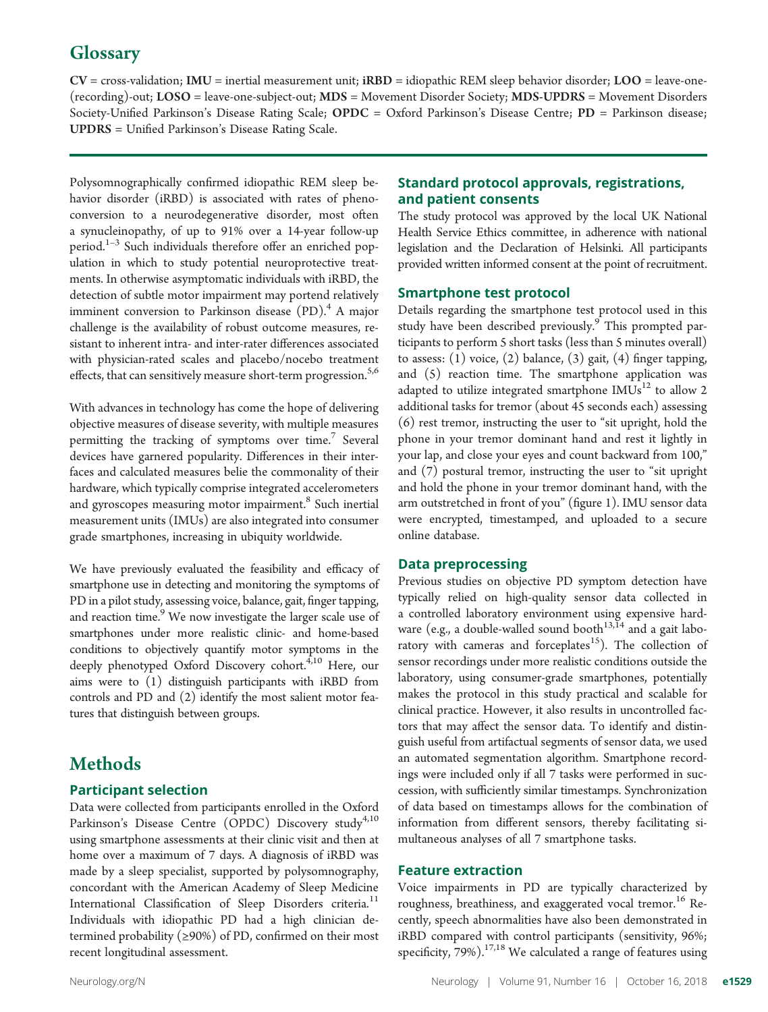# **Glossary**

 $CV = cross-validation; IMU = inertial measurement unit; iRBD = idiopathic REM sleep behavior disorder; LOO = leave-one-$ (recording)-out; LOSO = leave-one-subject-out; MDS = Movement Disorder Society; MDS-UPDRS = Movement Disorders Society-Unified Parkinson's Disease Rating Scale; OPDC = Oxford Parkinson's Disease Centre; PD = Parkinson disease; UPDRS = Unified Parkinson's Disease Rating Scale.

Polysomnographically confirmed idiopathic REM sleep behavior disorder (iRBD) is associated with rates of phenoconversion to a neurodegenerative disorder, most often a synucleinopathy, of up to 91% over a 14-year follow-up period. $1-3$  Such individuals therefore offer an enriched population in which to study potential neuroprotective treatments. In otherwise asymptomatic individuals with iRBD, the detection of subtle motor impairment may portend relatively imminent conversion to Parkinson disease  $(PD)^4$ . A major challenge is the availability of robust outcome measures, resistant to inherent intra- and inter-rater differences associated with physician-rated scales and placebo/nocebo treatment effects, that can sensitively measure short-term progression.<sup>5,6</sup>

With advances in technology has come the hope of delivering objective measures of disease severity, with multiple measures permitting the tracking of symptoms over time.<sup>7</sup> Several devices have garnered popularity. Differences in their interfaces and calculated measures belie the commonality of their hardware, which typically comprise integrated accelerometers and gyroscopes measuring motor impairment.<sup>8</sup> Such inertial measurement units (IMUs) are also integrated into consumer grade smartphones, increasing in ubiquity worldwide.

We have previously evaluated the feasibility and efficacy of smartphone use in detecting and monitoring the symptoms of PD in a pilot study, assessing voice, balance, gait, finger tapping, and reaction time.<sup>9</sup> We now investigate the larger scale use of smartphones under more realistic clinic- and home-based conditions to objectively quantify motor symptoms in the deeply phenotyped Oxford Discovery cohort.<sup>4,10</sup> Here, our aims were to (1) distinguish participants with iRBD from controls and PD and (2) identify the most salient motor features that distinguish between groups.

# Methods

#### Participant selection

Data were collected from participants enrolled in the Oxford Parkinson's Disease Centre (OPDC) Discovery study<sup>4,10</sup> using smartphone assessments at their clinic visit and then at home over a maximum of 7 days. A diagnosis of iRBD was made by a sleep specialist, supported by polysomnography, concordant with the American Academy of Sleep Medicine International Classification of Sleep Disorders criteria.<sup>11</sup> Individuals with idiopathic PD had a high clinician determined probability (≥90%) of PD, confirmed on their most recent longitudinal assessment.

### Standard protocol approvals, registrations, and patient consents

The study protocol was approved by the local UK National Health Service Ethics committee, in adherence with national legislation and the Declaration of Helsinki. All participants provided written informed consent at the point of recruitment.

#### Smartphone test protocol

Details regarding the smartphone test protocol used in this study have been described previously.<sup>9</sup> This prompted participants to perform 5 short tasks (less than 5 minutes overall) to assess:  $(1)$  voice,  $(2)$  balance,  $(3)$  gait,  $(4)$  finger tapping, and (5) reaction time. The smartphone application was adapted to utilize integrated smartphone  $IMUs<sup>12</sup>$  to allow 2 additional tasks for tremor (about 45 seconds each) assessing (6) rest tremor, instructing the user to "sit upright, hold the phone in your tremor dominant hand and rest it lightly in your lap, and close your eyes and count backward from 100," and (7) postural tremor, instructing the user to "sit upright and hold the phone in your tremor dominant hand, with the arm outstretched in front of you" (figure 1). IMU sensor data were encrypted, timestamped, and uploaded to a secure online database.

#### Data preprocessing

Previous studies on objective PD symptom detection have typically relied on high-quality sensor data collected in a controlled laboratory environment using expensive hardware (e.g., a double-walled sound booth  $^{13,\tilde{1}4}$  and a gait laboratory with cameras and forceplates<sup>15</sup>). The collection of sensor recordings under more realistic conditions outside the laboratory, using consumer-grade smartphones, potentially makes the protocol in this study practical and scalable for clinical practice. However, it also results in uncontrolled factors that may affect the sensor data. To identify and distinguish useful from artifactual segments of sensor data, we used an automated segmentation algorithm. Smartphone recordings were included only if all 7 tasks were performed in succession, with sufficiently similar timestamps. Synchronization of data based on timestamps allows for the combination of information from different sensors, thereby facilitating simultaneous analyses of all 7 smartphone tasks.

#### Feature extraction

Voice impairments in PD are typically characterized by roughness, breathiness, and exaggerated vocal tremor.<sup>16</sup> Recently, speech abnormalities have also been demonstrated in iRBD compared with control participants (sensitivity, 96%; specificity,  $79\%$ ).<sup>17,18</sup> We calculated a range of features using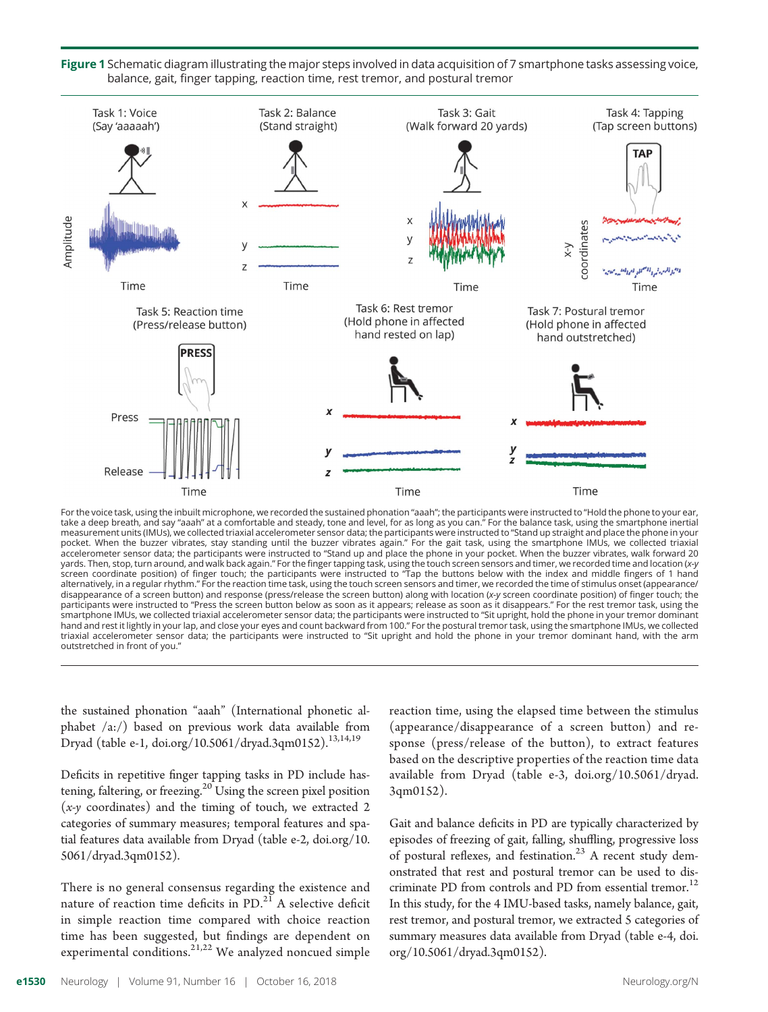

Figure 1 Schematic diagram illustrating the major steps involved in data acquisition of 7 smartphone tasks assessing voice, balance, gait, finger tapping, reaction time, rest tremor, and postural tremor

For the voice task, using the inbuilt microphone, we recorded the sustained phonation "aaah"; the participants were instructed to "Hold the phone to your ear, take a deep breath, and say "aaah" at a comfortable and steady, tone and level, for as long as you can." For the balance task, using the smartphone inertial measurement units (IMUs), we collected triaxial accelerometer sensor data; the participants were instructed to "Stand up straight and place the phone in your pocket. When the buzzer vibrates, stay standing until the buzzer vibrates again." For the gait task, using the smartphone IMUs, we collected triaxial accelerometer sensor data; the participants were instructed to "Stand up and place the phone in your pocket. When the buzzer vibrates, walk forward 20 yards. Then, stop, turn around, and walk back again." For the finger tapping task, using the touch screen sensors and timer, we recorded time and location (x-y screen coordinate position) of finger touch; the participants were instructed to "Tap the buttons below with the index and middle fingers of 1 hand alternatively, in a regular rhythm." For the reaction time task, using the touch screen sensors and timer, we recorded the time of stimulus onset (appearance/ disappearance of a screen button) and response (press/release the screen button) along with location (x-y screen coordinate position) of finger touch; the<br>participants were instructed to "Press the screen button below as s smartphone IMUs, we collected triaxial accelerometer sensor data; the participants were instructed to "Sit upright, hold the phone in your tremor dominant hand and rest it lightly in your lap, and close your eyes and count backward from 100." For the postural tremor task, using the smartphone IMUs, we collected triaxial accelerometer sensor data; the participants were instructed to "Sit upright and hold the phone in your tremor dominant hand, with the arm outstretched in front of you."

the sustained phonation "aaah" (International phonetic alphabet /a:/) based on previous work data available from Dryad (table e-1, [doi.org/10.5061/dryad.3qm0152\)](https://doi.org/10.5061/dryad.3qm0152).<sup>13,14,19</sup>

Deficits in repetitive finger tapping tasks in PD include hastening, faltering, or freezing.<sup>20</sup> Using the screen pixel position  $(x-y)$  coordinates) and the timing of touch, we extracted 2 categories of summary measures; temporal features and spatial features data available from Dryad (table e-2, [doi.org/10.](https://doi.org/10.5061/dryad.3qm0152) [5061/dryad.3qm0152](https://doi.org/10.5061/dryad.3qm0152)).

There is no general consensus regarding the existence and nature of reaction time deficits in  $PD<sup>21</sup>$  A selective deficit in simple reaction time compared with choice reaction time has been suggested, but findings are dependent on experimental conditions.<sup>21,22</sup> We analyzed noncued simple

reaction time, using the elapsed time between the stimulus (appearance/disappearance of a screen button) and response (press/release of the button), to extract features based on the descriptive properties of the reaction time data available from Dryad (table e-3, [doi.org/10.5061/dryad.](https://doi.org/10.5061/dryad.3qm0152) [3qm0152\)](https://doi.org/10.5061/dryad.3qm0152).

Gait and balance deficits in PD are typically characterized by episodes of freezing of gait, falling, shuffling, progressive loss of postural reflexes, and festination. $^{23}$  A recent study demonstrated that rest and postural tremor can be used to discriminate PD from controls and PD from essential tremor.<sup>12</sup> In this study, for the 4 IMU-based tasks, namely balance, gait, rest tremor, and postural tremor, we extracted 5 categories of summary measures data available from Dryad (table e-4, [doi.](https://doi.org/10.5061/dryad.3qm0152) [org/10.5061/dryad.3qm0152\)](https://doi.org/10.5061/dryad.3qm0152).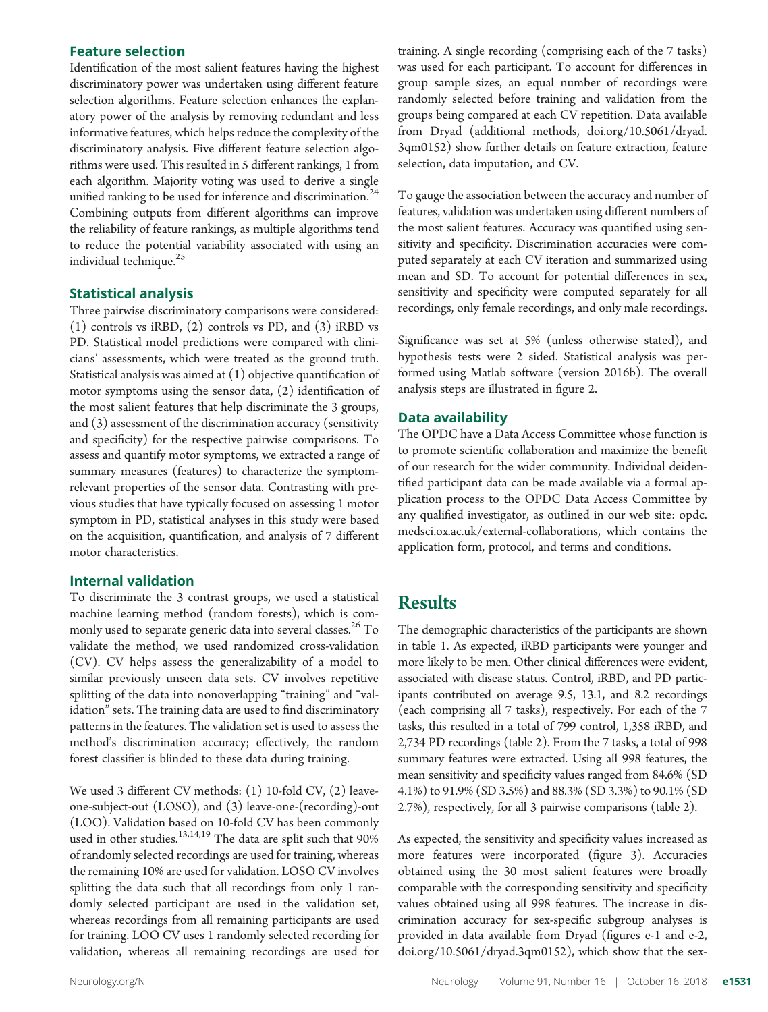#### Feature selection

Identification of the most salient features having the highest discriminatory power was undertaken using different feature selection algorithms. Feature selection enhances the explanatory power of the analysis by removing redundant and less informative features, which helps reduce the complexity of the discriminatory analysis. Five different feature selection algorithms were used. This resulted in 5 different rankings, 1 from each algorithm. Majority voting was used to derive a single unified ranking to be used for inference and discrimination.<sup>24</sup> Combining outputs from different algorithms can improve the reliability of feature rankings, as multiple algorithms tend to reduce the potential variability associated with using an individual technique.<sup>25</sup>

#### Statistical analysis

Three pairwise discriminatory comparisons were considered: (1) controls vs iRBD, (2) controls vs PD, and (3) iRBD vs PD. Statistical model predictions were compared with clinicians' assessments, which were treated as the ground truth. Statistical analysis was aimed at  $(1)$  objective quantification of motor symptoms using the sensor data, (2) identification of the most salient features that help discriminate the 3 groups, and (3) assessment of the discrimination accuracy (sensitivity and specificity) for the respective pairwise comparisons. To assess and quantify motor symptoms, we extracted a range of summary measures (features) to characterize the symptomrelevant properties of the sensor data. Contrasting with previous studies that have typically focused on assessing 1 motor symptom in PD, statistical analyses in this study were based on the acquisition, quantification, and analysis of 7 different motor characteristics.

#### Internal validation

To discriminate the 3 contrast groups, we used a statistical machine learning method (random forests), which is commonly used to separate generic data into several classes.<sup>26</sup> To validate the method, we used randomized cross-validation (CV). CV helps assess the generalizability of a model to similar previously unseen data sets. CV involves repetitive splitting of the data into nonoverlapping "training" and "validation" sets. The training data are used to find discriminatory patterns in the features. The validation set is used to assess the method's discrimination accuracy; effectively, the random forest classifier is blinded to these data during training.

We used 3 different CV methods: (1) 10-fold CV, (2) leaveone-subject-out (LOSO), and (3) leave-one-(recording)-out (LOO). Validation based on 10-fold CV has been commonly used in other studies.<sup>13,14,19</sup> The data are split such that  $90\%$ of randomly selected recordings are used for training, whereas the remaining 10% are used for validation. LOSO CV involves splitting the data such that all recordings from only 1 randomly selected participant are used in the validation set, whereas recordings from all remaining participants are used for training. LOO CV uses 1 randomly selected recording for validation, whereas all remaining recordings are used for training. A single recording (comprising each of the 7 tasks) was used for each participant. To account for differences in group sample sizes, an equal number of recordings were randomly selected before training and validation from the groups being compared at each CV repetition. Data available from Dryad (additional methods, [doi.org/10.5061/dryad.](https://doi.org/10.5061/dryad.3qm0152) [3qm0152](https://doi.org/10.5061/dryad.3qm0152)) show further details on feature extraction, feature selection, data imputation, and CV.

To gauge the association between the accuracy and number of features, validation was undertaken using different numbers of the most salient features. Accuracy was quantified using sensitivity and specificity. Discrimination accuracies were computed separately at each CV iteration and summarized using mean and SD. To account for potential differences in sex, sensitivity and specificity were computed separately for all recordings, only female recordings, and only male recordings.

Significance was set at 5% (unless otherwise stated), and hypothesis tests were 2 sided. Statistical analysis was performed using Matlab software (version 2016b). The overall analysis steps are illustrated in figure 2.

#### Data availability

The OPDC have a Data Access Committee whose function is to promote scientific collaboration and maximize the benefit of our research for the wider community. Individual deidentified participant data can be made available via a formal application process to the OPDC Data Access Committee by any qualified investigator, as outlined in our web site: [opdc.](http://opdc.medsci.ox.ac.uk/external-collaborations) [medsci.ox.ac.uk/external-collaborations,](http://opdc.medsci.ox.ac.uk/external-collaborations) which contains the application form, protocol, and terms and conditions.

# Results

The demographic characteristics of the participants are shown in table 1. As expected, iRBD participants were younger and more likely to be men. Other clinical differences were evident, associated with disease status. Control, iRBD, and PD participants contributed on average 9.5, 13.1, and 8.2 recordings (each comprising all 7 tasks), respectively. For each of the 7 tasks, this resulted in a total of 799 control, 1,358 iRBD, and 2,734 PD recordings (table 2). From the 7 tasks, a total of 998 summary features were extracted. Using all 998 features, the mean sensitivity and specificity values ranged from 84.6% (SD 4.1%) to 91.9% (SD 3.5%) and 88.3% (SD 3.3%) to 90.1% (SD 2.7%), respectively, for all 3 pairwise comparisons (table 2).

As expected, the sensitivity and specificity values increased as more features were incorporated (figure 3). Accuracies obtained using the 30 most salient features were broadly comparable with the corresponding sensitivity and specificity values obtained using all 998 features. The increase in discrimination accuracy for sex-specific subgroup analyses is provided in data available from Dryad (figures e-1 and e-2, [doi.org/10.5061/dryad.3qm0152](https://doi.org/10.5061/dryad.3qm0152)), which show that the sex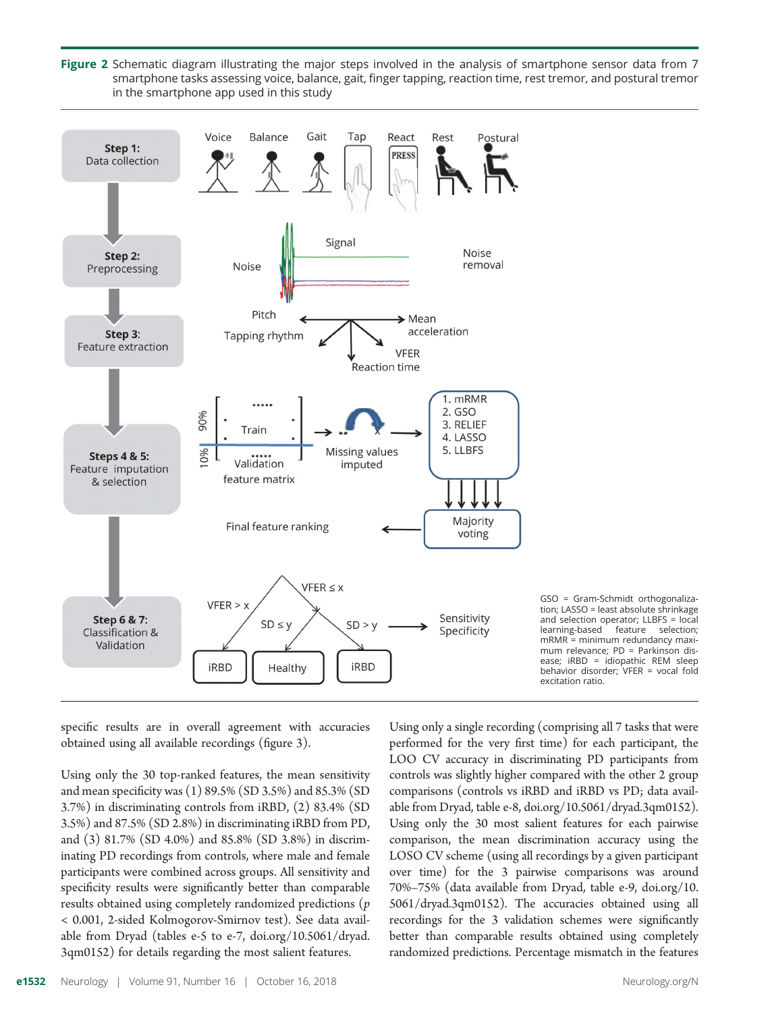Figure 2 Schematic diagram illustrating the major steps involved in the analysis of smartphone sensor data from 7 smartphone tasks assessing voice, balance, gait, finger tapping, reaction time, rest tremor, and postural tremor in the smartphone app used in this study



GSO = Gram-Schmidt orthogonalization; LASSO = least absolute shrinkage and selection operator; LLBFS = local learning-based feature selection;  $mRMR =$  minimum redundancy maximum relevance; PD = Parkinson disease; iRBD = idiopathic REM sleep behavior disorder; VFER = vocal fold excitation ratio.

specific results are in overall agreement with accuracies obtained using all available recordings (figure 3).

Using only the 30 top-ranked features, the mean sensitivity and mean specificity was (1) 89.5% (SD 3.5%) and 85.3% (SD 3.7%) in discriminating controls from iRBD, (2) 83.4% (SD 3.5%) and 87.5% (SD 2.8%) in discriminating iRBD from PD, and (3) 81.7% (SD 4.0%) and 85.8% (SD 3.8%) in discriminating PD recordings from controls, where male and female participants were combined across groups. All sensitivity and specificity results were significantly better than comparable results obtained using completely randomized predictions (p < 0.001, 2-sided Kolmogorov-Smirnov test). See data available from Dryad (tables e-5 to e-7, [doi.org/10.5061/dryad.](https://doi.org/10.5061/dryad.3qm0152) [3qm0152\)](https://doi.org/10.5061/dryad.3qm0152) for details regarding the most salient features.

Using only a single recording (comprising all 7 tasks that were performed for the very first time) for each participant, the LOO CV accuracy in discriminating PD participants from controls was slightly higher compared with the other 2 group comparisons (controls vs iRBD and iRBD vs PD; data available from Dryad, table e-8, [doi.org/10.5061/dryad.3qm0152](https://doi.org/10.5061/dryad.3qm0152)). Using only the 30 most salient features for each pairwise comparison, the mean discrimination accuracy using the LOSO CV scheme (using all recordings by a given participant over time) for the 3 pairwise comparisons was around 70%–75% (data available from Dryad, table e-9, [doi.org/10.](https://doi.org/10.5061/dryad.3qm0152) [5061/dryad.3qm0152](https://doi.org/10.5061/dryad.3qm0152)). The accuracies obtained using all recordings for the 3 validation schemes were significantly better than comparable results obtained using completely randomized predictions. Percentage mismatch in the features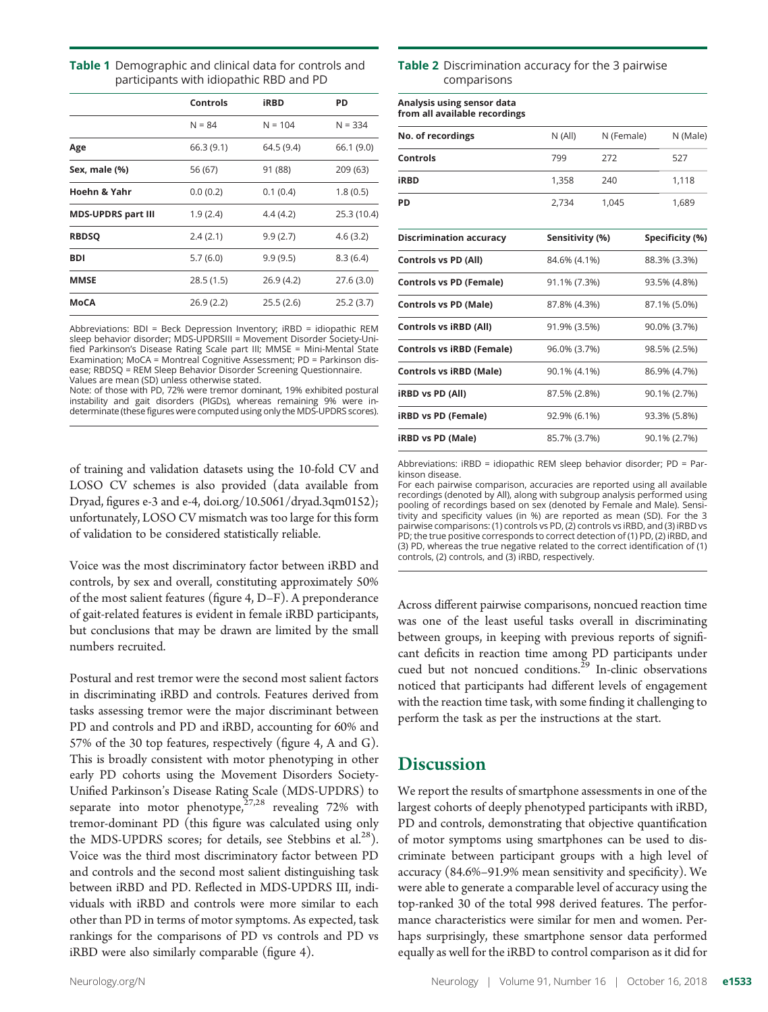| Table 1 Demographic and clinical data for controls and |  |  |
|--------------------------------------------------------|--|--|
| participants with idiopathic RBD and PD                |  |  |

|                           | Controls   | <b>iRBD</b> | PD          |
|---------------------------|------------|-------------|-------------|
|                           | $N = 84$   | $N = 104$   | $N = 334$   |
| Age                       | 66.3(9.1)  | 64.5 (9.4)  | 66.1 (9.0)  |
| Sex, male (%)             | 56 (67)    | 91 (88)     | 209 (63)    |
| Hoehn & Yahr              | 0.0(0.2)   | 0.1(0.4)    | 1.8(0.5)    |
| <b>MDS-UPDRS part III</b> | 1.9(2.4)   | 4.4 (4.2)   | 25.3 (10.4) |
| <b>RBDSQ</b>              | 2.4(2.1)   | 9.9(2.7)    | 4.6(3.2)    |
| <b>BDI</b>                | 5.7(6.0)   | 9.9(9.5)    | 8.3(6.4)    |
| <b>MMSE</b>               | 28.5 (1.5) | 26.9 (4.2)  | 27.6 (3.0)  |
| MoCA                      | 26.9(2.2)  | 25.5(2.6)   | 25.2(3.7)   |

Abbreviations: BDI = Beck Depression Inventory; iRBD = idiopathic REM sleep behavior disorder; MDS-UPDRSIII = Movement Disorder Society-Unified Parkinson's Disease Rating Scale part III; MMSE = Mini-Mental State Examination; MoCA = Montreal Cognitive Assessment; PD = Parkinson disease; RBDSQ = REM Sleep Behavior Disorder Screening Questionnaire. Values are mean (SD) unless otherwise stated.

Note: of those with PD, 72% were tremor dominant, 19% exhibited postural instability and gait disorders (PIGDs), whereas remaining 9% were indeterminate (these figures were computed using only the MDS-UPDRS scores).

of training and validation datasets using the 10-fold CV and LOSO CV schemes is also provided (data available from Dryad, figures e-3 and e-4, [doi.org/10.5061/dryad.3qm0152](https://doi.org/10.5061/dryad.3qm0152)); unfortunately, LOSO CV mismatch was too large for this form of validation to be considered statistically reliable.

Voice was the most discriminatory factor between iRBD and controls, by sex and overall, constituting approximately 50% of the most salient features (figure 4, D–F). A preponderance of gait-related features is evident in female iRBD participants, but conclusions that may be drawn are limited by the small numbers recruited.

Postural and rest tremor were the second most salient factors in discriminating iRBD and controls. Features derived from tasks assessing tremor were the major discriminant between PD and controls and PD and iRBD, accounting for 60% and 57% of the 30 top features, respectively (figure 4, A and G). This is broadly consistent with motor phenotyping in other early PD cohorts using the Movement Disorders Society-Unified Parkinson's Disease Rating Scale (MDS-UPDRS) to separate into motor phenotype, $27,28$  revealing 72% with tremor-dominant PD (this figure was calculated using only the MDS-UPDRS scores; for details, see Stebbins et al. $^{28}$ ). Voice was the third most discriminatory factor between PD and controls and the second most salient distinguishing task between iRBD and PD. Reflected in MDS-UPDRS III, individuals with iRBD and controls were more similar to each other than PD in terms of motor symptoms. As expected, task rankings for the comparisons of PD vs controls and PD vs iRBD were also similarly comparable (figure 4).

#### **Table 2** Discrimination accuracy for the 3 pairwise comparisons

| Analysis using sensor data<br>from all available recordings |                 |            |                 |
|-------------------------------------------------------------|-----------------|------------|-----------------|
| No. of recordings                                           | N (All)         | N (Female) | N (Male)        |
| Controls                                                    | 799             | 272        | 527             |
| <b>iRBD</b>                                                 | 1,358           | 240        | 1,118           |
| PD                                                          | 2,734           | 1,045      | 1,689           |
| <b>Discrimination accuracy</b>                              | Sensitivity (%) |            | Specificity (%) |
| <b>Controls vs PD (All)</b>                                 | 84.6% (4.1%)    |            | 88.3% (3.3%)    |
| <b>Controls vs PD (Female)</b>                              | 91.1% (7.3%)    |            | 93.5% (4.8%)    |
| <b>Controls vs PD (Male)</b>                                | 87.8% (4.3%)    |            | 87.1% (5.0%)    |
| <b>Controls vs iRBD (All)</b>                               | 91.9% (3.5%)    |            | 90.0% (3.7%)    |
| <b>Controls vs iRBD (Female)</b>                            | 96.0% (3.7%)    |            | 98.5% (2.5%)    |
| <b>Controls vs iRBD (Male)</b>                              | 90.1% (4.1%)    |            | 86.9% (4.7%)    |
| <b>iRBD vs PD (All)</b>                                     | 87.5% (2.8%)    |            | 90.1% (2.7%)    |
| iRBD vs PD (Female)                                         | 92.9% (6.1%)    |            | 93.3% (5.8%)    |
| <b>iRBD vs PD (Male)</b>                                    | 85.7% (3.7%)    |            | 90.1% (2.7%)    |

Abbreviations: iRBD = idiopathic REM sleep behavior disorder; PD = Parkinson disease.

For each pairwise comparison, accuracies are reported using all available recordings (denoted by All), along with subgroup analysis performed using pooling of recordings based on sex (denoted by Female and Male). Sensitivity and specificity values (in %) are reported as mean (SD). For the 3 pairwise comparisons: (1) controls vs PD, (2) controls vs iRBD, and (3) iRBD vs PD; the true positive corresponds to correct detection of (1) PD, (2) iRBD, and (3) PD, whereas the true negative related to the correct identification of (1) controls, (2) controls, and (3) iRBD, respectively.

Across different pairwise comparisons, noncued reaction time was one of the least useful tasks overall in discriminating between groups, in keeping with previous reports of significant deficits in reaction time among PD participants under cued but not noncued conditions.<sup>29</sup> In-clinic observations noticed that participants had different levels of engagement with the reaction time task, with some finding it challenging to perform the task as per the instructions at the start.

# **Discussion**

We report the results of smartphone assessments in one of the largest cohorts of deeply phenotyped participants with iRBD, PD and controls, demonstrating that objective quantification of motor symptoms using smartphones can be used to discriminate between participant groups with a high level of accuracy (84.6%–91.9% mean sensitivity and specificity). We were able to generate a comparable level of accuracy using the top-ranked 30 of the total 998 derived features. The performance characteristics were similar for men and women. Perhaps surprisingly, these smartphone sensor data performed equally as well for the iRBD to control comparison as it did for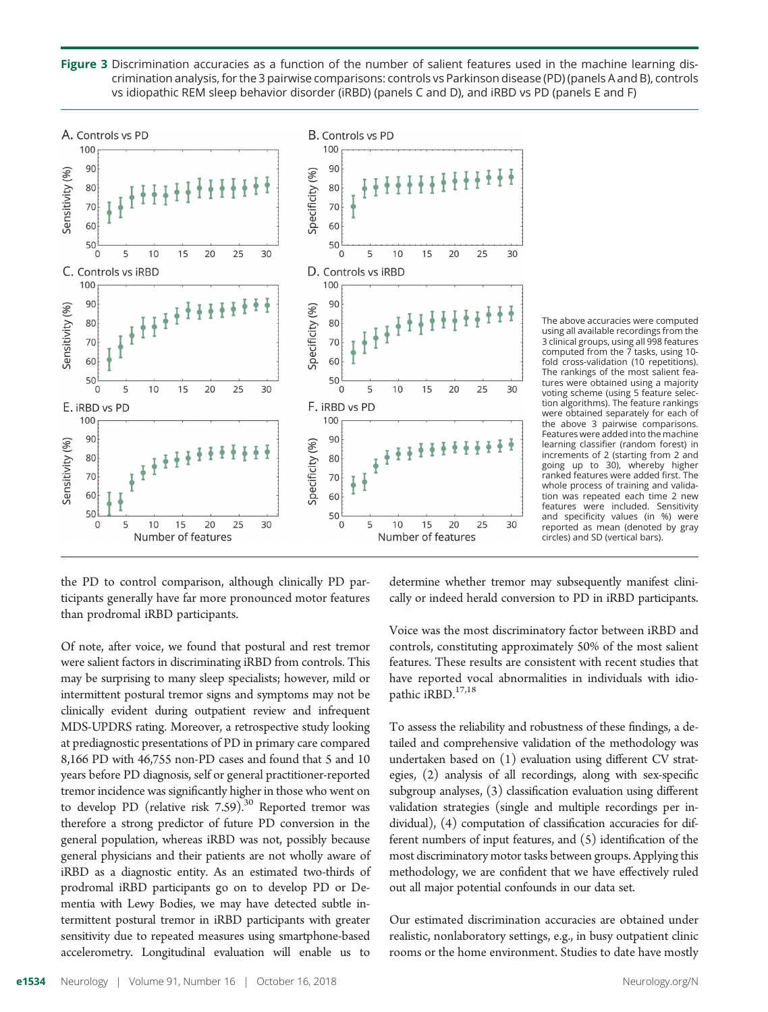Figure 3 Discrimination accuracies as a function of the number of salient features used in the machine learning discrimination analysis, for the 3 pairwise comparisons: controls vs Parkinson disease (PD) (panels A and B), controls vs idiopathic REM sleep behavior disorder (iRBD) (panels C and D), and iRBD vs PD (panels E and F)



The above accuracies were computed using all available recordings from the 3 clinical groups, using all 998 features computed from the 7 tasks, using 10 fold cross-validation (10 repetitions). The rankings of the most salient features were obtained using a majority voting scheme (using 5 feature selection algorithms). The feature rankings were obtained separately for each of the above 3 pairwise comparisons. Features were added into the machine learning classifier (random forest) in increments of 2 (starting from 2 and going up to 30), whereby higher ranked features were added first. The whole process of training and validation was repeated each time 2 new features were included. Sensitivity and specificity values (in %) were reported as mean (denoted by gray circles) and SD (vertical bars).

the PD to control comparison, although clinically PD participants generally have far more pronounced motor features than prodromal iRBD participants.

Of note, after voice, we found that postural and rest tremor were salient factors in discriminating iRBD from controls. This may be surprising to many sleep specialists; however, mild or intermittent postural tremor signs and symptoms may not be clinically evident during outpatient review and infrequent MDS-UPDRS rating. Moreover, a retrospective study looking at prediagnostic presentations of PD in primary care compared 8,166 PD with 46,755 non-PD cases and found that 5 and 10 years before PD diagnosis, self or general practitioner-reported tremor incidence was significantly higher in those who went on to develop PD (relative risk  $7.59$ ).<sup>30</sup> Reported tremor was therefore a strong predictor of future PD conversion in the general population, whereas iRBD was not, possibly because general physicians and their patients are not wholly aware of iRBD as a diagnostic entity. As an estimated two-thirds of prodromal iRBD participants go on to develop PD or Dementia with Lewy Bodies, we may have detected subtle intermittent postural tremor in iRBD participants with greater sensitivity due to repeated measures using smartphone-based accelerometry. Longitudinal evaluation will enable us to

determine whether tremor may subsequently manifest clinically or indeed herald conversion to PD in iRBD participants.

Voice was the most discriminatory factor between iRBD and controls, constituting approximately 50% of the most salient features. These results are consistent with recent studies that have reported vocal abnormalities in individuals with idiopathic iRBD.<sup>17,18</sup>

To assess the reliability and robustness of these findings, a detailed and comprehensive validation of the methodology was undertaken based on (1) evaluation using different CV strategies, (2) analysis of all recordings, along with sex-specific subgroup analyses, (3) classification evaluation using different validation strategies (single and multiple recordings per individual), (4) computation of classification accuracies for different numbers of input features, and (5) identification of the most discriminatory motor tasks between groups. Applying this methodology, we are confident that we have effectively ruled out all major potential confounds in our data set.

Our estimated discrimination accuracies are obtained under realistic, nonlaboratory settings, e.g., in busy outpatient clinic rooms or the home environment. Studies to date have mostly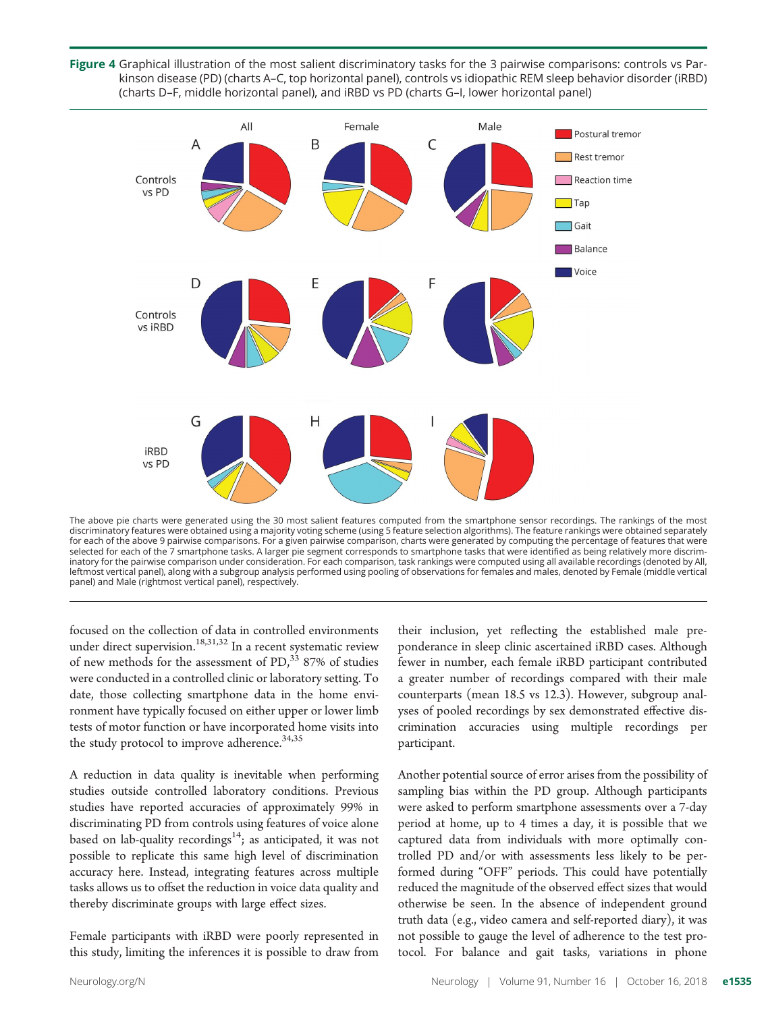Figure 4 Graphical illustration of the most salient discriminatory tasks for the 3 pairwise comparisons: controls vs Parkinson disease (PD) (charts A–C, top horizontal panel), controls vs idiopathic REM sleep behavior disorder (iRBD) (charts D–F, middle horizontal panel), and iRBD vs PD (charts G–I, lower horizontal panel)



The above pie charts were generated using the 30 most salient features computed from the smartphone sensor recordings. The rankings of the most discriminatory features were obtained using a majority voting scheme (using 5 feature selection algorithms). The feature rankings were obtained separately for each of the above 9 pairwise comparisons. For a given pairwise comparison, charts were generated by computing the percentage of features that were selected for each of the 7 smartphone tasks. A larger pie segment corresponds to smartphone tasks that were identified as being relatively more discriminatory for the pairwise comparison under consideration. For each comparison, task rankings were computed using all available recordings (denoted by All, leftmost vertical panel), along with a subgroup analysis performed using pooling of observations for females and males, denoted by Female (middle vertical panel) and Male (rightmost vertical panel), respectively.

focused on the collection of data in controlled environments under direct supervision.<sup>18,31,32</sup> In a recent systematic review of new methods for the assessment of  $PD<sub>1</sub><sup>33</sup>$  87% of studies were conducted in a controlled clinic or laboratory setting. To date, those collecting smartphone data in the home environment have typically focused on either upper or lower limb tests of motor function or have incorporated home visits into the study protocol to improve adherence.<sup>34,35</sup>

A reduction in data quality is inevitable when performing studies outside controlled laboratory conditions. Previous studies have reported accuracies of approximately 99% in discriminating PD from controls using features of voice alone based on lab-quality recordings<sup>14</sup>; as anticipated, it was not possible to replicate this same high level of discrimination accuracy here. Instead, integrating features across multiple tasks allows us to offset the reduction in voice data quality and thereby discriminate groups with large effect sizes.

Female participants with iRBD were poorly represented in this study, limiting the inferences it is possible to draw from their inclusion, yet reflecting the established male preponderance in sleep clinic ascertained iRBD cases. Although fewer in number, each female iRBD participant contributed a greater number of recordings compared with their male counterparts (mean 18.5 vs 12.3). However, subgroup analyses of pooled recordings by sex demonstrated effective discrimination accuracies using multiple recordings per participant.

Another potential source of error arises from the possibility of sampling bias within the PD group. Although participants were asked to perform smartphone assessments over a 7-day period at home, up to 4 times a day, it is possible that we captured data from individuals with more optimally controlled PD and/or with assessments less likely to be performed during "OFF" periods. This could have potentially reduced the magnitude of the observed effect sizes that would otherwise be seen. In the absence of independent ground truth data (e.g., video camera and self-reported diary), it was not possible to gauge the level of adherence to the test protocol. For balance and gait tasks, variations in phone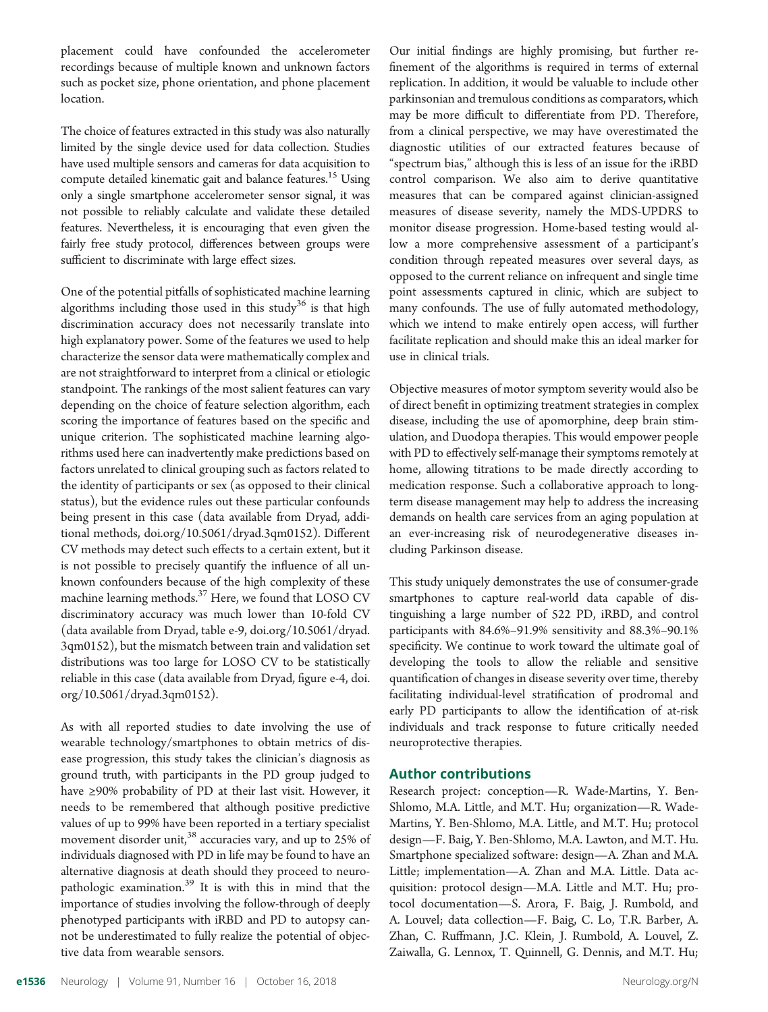placement could have confounded the accelerometer recordings because of multiple known and unknown factors such as pocket size, phone orientation, and phone placement location.

The choice of features extracted in this study was also naturally limited by the single device used for data collection. Studies have used multiple sensors and cameras for data acquisition to compute detailed kinematic gait and balance features.<sup>15</sup> Using only a single smartphone accelerometer sensor signal, it was not possible to reliably calculate and validate these detailed features. Nevertheless, it is encouraging that even given the fairly free study protocol, differences between groups were sufficient to discriminate with large effect sizes.

One of the potential pitfalls of sophisticated machine learning algorithms including those used in this study<sup>36</sup> is that high discrimination accuracy does not necessarily translate into high explanatory power. Some of the features we used to help characterize the sensor data were mathematically complex and are not straightforward to interpret from a clinical or etiologic standpoint. The rankings of the most salient features can vary depending on the choice of feature selection algorithm, each scoring the importance of features based on the specific and unique criterion. The sophisticated machine learning algorithms used here can inadvertently make predictions based on factors unrelated to clinical grouping such as factors related to the identity of participants or sex (as opposed to their clinical status), but the evidence rules out these particular confounds being present in this case (data available from Dryad, additional methods, [doi.org/10.5061/dryad.3qm0152\)](https://doi.org/10.5061/dryad.3qm0152). Different CV methods may detect such effects to a certain extent, but it is not possible to precisely quantify the influence of all unknown confounders because of the high complexity of these machine learning methods. $37$  Here, we found that LOSO CV discriminatory accuracy was much lower than 10-fold CV (data available from Dryad, table e-9, [doi.org/10.5061/dryad.](https://doi.org/10.5061/dryad.3qm0152) [3qm0152\)](https://doi.org/10.5061/dryad.3qm0152), but the mismatch between train and validation set distributions was too large for LOSO CV to be statistically reliable in this case (data available from Dryad, figure e-4, [doi.](https://doi.org/10.5061/dryad.3qm0152) [org/10.5061/dryad.3qm0152\)](https://doi.org/10.5061/dryad.3qm0152).

As with all reported studies to date involving the use of wearable technology/smartphones to obtain metrics of disease progression, this study takes the clinician's diagnosis as ground truth, with participants in the PD group judged to have ≥90% probability of PD at their last visit. However, it needs to be remembered that although positive predictive values of up to 99% have been reported in a tertiary specialist movement disorder unit,  $38$  accuracies vary, and up to 25% of individuals diagnosed with PD in life may be found to have an alternative diagnosis at death should they proceed to neuropathologic examination.<sup>39</sup> It is with this in mind that the importance of studies involving the follow-through of deeply phenotyped participants with iRBD and PD to autopsy cannot be underestimated to fully realize the potential of objective data from wearable sensors.

Our initial findings are highly promising, but further refinement of the algorithms is required in terms of external replication. In addition, it would be valuable to include other parkinsonian and tremulous conditions as comparators, which may be more difficult to differentiate from PD. Therefore, from a clinical perspective, we may have overestimated the diagnostic utilities of our extracted features because of "spectrum bias," although this is less of an issue for the iRBD control comparison. We also aim to derive quantitative measures that can be compared against clinician-assigned measures of disease severity, namely the MDS-UPDRS to monitor disease progression. Home-based testing would allow a more comprehensive assessment of a participant's condition through repeated measures over several days, as opposed to the current reliance on infrequent and single time point assessments captured in clinic, which are subject to many confounds. The use of fully automated methodology, which we intend to make entirely open access, will further facilitate replication and should make this an ideal marker for use in clinical trials.

Objective measures of motor symptom severity would also be of direct benefit in optimizing treatment strategies in complex disease, including the use of apomorphine, deep brain stimulation, and Duodopa therapies. This would empower people with PD to effectively self-manage their symptoms remotely at home, allowing titrations to be made directly according to medication response. Such a collaborative approach to longterm disease management may help to address the increasing demands on health care services from an aging population at an ever-increasing risk of neurodegenerative diseases including Parkinson disease.

This study uniquely demonstrates the use of consumer-grade smartphones to capture real-world data capable of distinguishing a large number of 522 PD, iRBD, and control participants with 84.6%–91.9% sensitivity and 88.3%–90.1% specificity. We continue to work toward the ultimate goal of developing the tools to allow the reliable and sensitive quantification of changes in disease severity over time, thereby facilitating individual-level stratification of prodromal and early PD participants to allow the identification of at-risk individuals and track response to future critically needed neuroprotective therapies.

#### Author contributions

Research project: conception—R. Wade-Martins, Y. Ben-Shlomo, M.A. Little, and M.T. Hu; organization—R. Wade-Martins, Y. Ben-Shlomo, M.A. Little, and M.T. Hu; protocol design—F. Baig, Y. Ben-Shlomo, M.A. Lawton, and M.T. Hu. Smartphone specialized software: design—A. Zhan and M.A. Little; implementation—A. Zhan and M.A. Little. Data acquisition: protocol design—M.A. Little and M.T. Hu; protocol documentation—S. Arora, F. Baig, J. Rumbold, and A. Louvel; data collection—F. Baig, C. Lo, T.R. Barber, A. Zhan, C. Ruffmann, J.C. Klein, J. Rumbold, A. Louvel, Z. Zaiwalla, G. Lennox, T. Quinnell, G. Dennis, and M.T. Hu;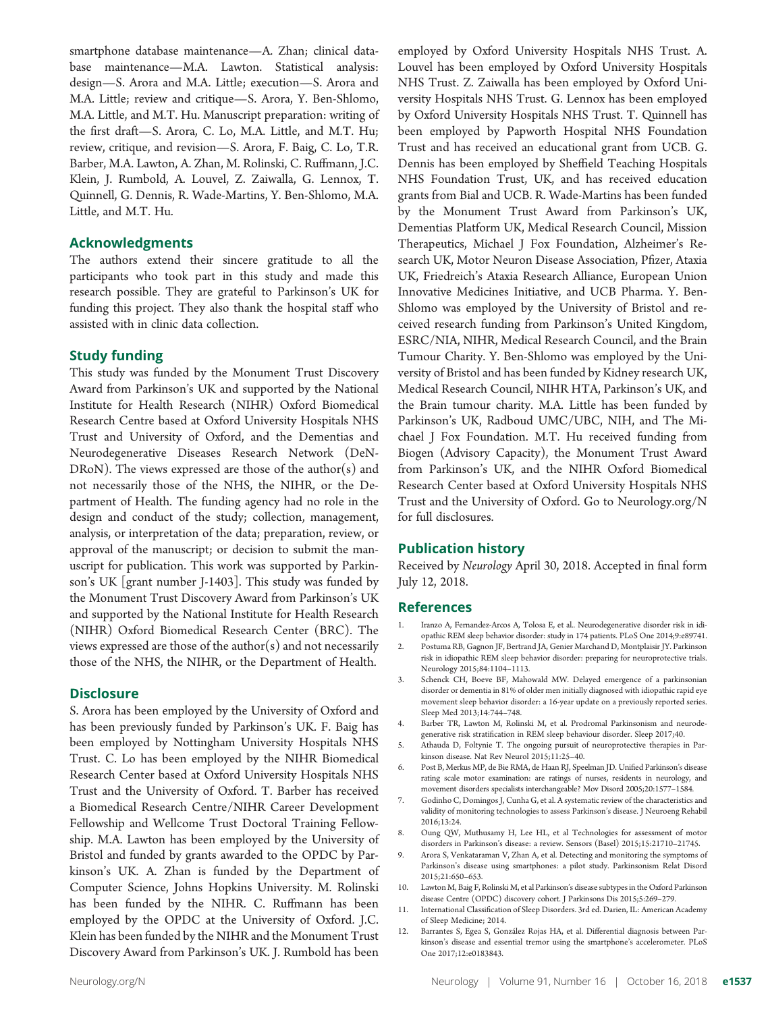smartphone database maintenance—A. Zhan; clinical database maintenance—M.A. Lawton. Statistical analysis: design—S. Arora and M.A. Little; execution—S. Arora and M.A. Little; review and critique—S. Arora, Y. Ben-Shlomo, M.A. Little, and M.T. Hu. Manuscript preparation: writing of the first draft—S. Arora, C. Lo, M.A. Little, and M.T. Hu; review, critique, and revision—S. Arora, F. Baig, C. Lo, T.R. Barber, M.A. Lawton, A. Zhan, M. Rolinski, C. Ruffmann, J.C. Klein, J. Rumbold, A. Louvel, Z. Zaiwalla, G. Lennox, T. Quinnell, G. Dennis, R. Wade-Martins, Y. Ben-Shlomo, M.A. Little, and M.T. Hu.

#### Acknowledgments

The authors extend their sincere gratitude to all the participants who took part in this study and made this research possible. They are grateful to Parkinson's UK for funding this project. They also thank the hospital staff who assisted with in clinic data collection.

#### Study funding

This study was funded by the Monument Trust Discovery Award from Parkinson's UK and supported by the National Institute for Health Research (NIHR) Oxford Biomedical Research Centre based at Oxford University Hospitals NHS Trust and University of Oxford, and the Dementias and Neurodegenerative Diseases Research Network (DeN-DRoN). The views expressed are those of the author(s) and not necessarily those of the NHS, the NIHR, or the Department of Health. The funding agency had no role in the design and conduct of the study; collection, management, analysis, or interpretation of the data; preparation, review, or approval of the manuscript; or decision to submit the manuscript for publication. This work was supported by Parkinson's UK [grant number J-1403]. This study was funded by the Monument Trust Discovery Award from Parkinson's UK and supported by the National Institute for Health Research (NIHR) Oxford Biomedical Research Center (BRC). The views expressed are those of the author(s) and not necessarily those of the NHS, the NIHR, or the Department of Health.

#### **Disclosure**

S. Arora has been employed by the University of Oxford and has been previously funded by Parkinson's UK. F. Baig has been employed by Nottingham University Hospitals NHS Trust. C. Lo has been employed by the NIHR Biomedical Research Center based at Oxford University Hospitals NHS Trust and the University of Oxford. T. Barber has received a Biomedical Research Centre/NIHR Career Development Fellowship and Wellcome Trust Doctoral Training Fellowship. M.A. Lawton has been employed by the University of Bristol and funded by grants awarded to the OPDC by Parkinson's UK. A. Zhan is funded by the Department of Computer Science, Johns Hopkins University. M. Rolinski has been funded by the NIHR. C. Ruffmann has been employed by the OPDC at the University of Oxford. J.C. Klein has been funded by the NIHR and the Monument Trust Discovery Award from Parkinson's UK. J. Rumbold has been

employed by Oxford University Hospitals NHS Trust. A. Louvel has been employed by Oxford University Hospitals NHS Trust. Z. Zaiwalla has been employed by Oxford University Hospitals NHS Trust. G. Lennox has been employed by Oxford University Hospitals NHS Trust. T. Quinnell has been employed by Papworth Hospital NHS Foundation Trust and has received an educational grant from UCB. G. Dennis has been employed by Sheffield Teaching Hospitals NHS Foundation Trust, UK, and has received education grants from Bial and UCB. R. Wade-Martins has been funded by the Monument Trust Award from Parkinson's UK, Dementias Platform UK, Medical Research Council, Mission Therapeutics, Michael J Fox Foundation, Alzheimer's Research UK, Motor Neuron Disease Association, Pfizer, Ataxia UK, Friedreich's Ataxia Research Alliance, European Union Innovative Medicines Initiative, and UCB Pharma. Y. Ben-Shlomo was employed by the University of Bristol and received research funding from Parkinson's United Kingdom, ESRC/NIA, NIHR, Medical Research Council, and the Brain Tumour Charity. Y. Ben-Shlomo was employed by the University of Bristol and has been funded by Kidney research UK, Medical Research Council, NIHR HTA, Parkinson's UK, and the Brain tumour charity. M.A. Little has been funded by Parkinson's UK, Radboud UMC/UBC, NIH, and The Michael J Fox Foundation. M.T. Hu received funding from Biogen (Advisory Capacity), the Monument Trust Award from Parkinson's UK, and the NIHR Oxford Biomedical Research Center based at Oxford University Hospitals NHS Trust and the University of Oxford. Go to [Neurology.org/N](http://n.neurology.org/lookup/doi/10.1212/WNL.0000000000006366) for full disclosures.

#### Publication history

Received by Neurology April 30, 2018. Accepted in final form July 12, 2018.

#### References

- 1. Iranzo A, Fernandez-Arcos A, Tolosa E, et al.. Neurodegenerative disorder risk in idiopathic REM sleep behavior disorder: study in 174 patients. PLoS One 2014;9:e89741.
- 2. Postuma RB, Gagnon JF, Bertrand JA, Genier Marchand D, Montplaisir JY. Parkinson risk in idiopathic REM sleep behavior disorder: preparing for neuroprotective trials. Neurology 2015;84:1104–1113.
- 3. Schenck CH, Boeve BF, Mahowald MW. Delayed emergence of a parkinsonian disorder or dementia in 81% of older men initially diagnosed with idiopathic rapid eye movement sleep behavior disorder: a 16-year update on a previously reported series. Sleep Med 2013;14:744–748.
- 4. Barber TR, Lawton M, Rolinski M, et al. Prodromal Parkinsonism and neurodegenerative risk stratification in REM sleep behaviour disorder. Sleep 2017;40.
- 5. Athauda D, Foltynie T. The ongoing pursuit of neuroprotective therapies in Parkinson disease. Nat Rev Neurol 2015;11:25–40.
- 6. Post B, Merkus MP, de Bie RMA, de Haan RJ, Speelman JD. Unified Parkinson's disease rating scale motor examination: are ratings of nurses, residents in neurology, and movement disorders specialists interchangeable? Mov Disord 2005;20:1577–1584.
- 7. Godinho C, Domingos J, Cunha G, et al. A systematic review of the characteristics and validity of monitoring technologies to assess Parkinson's disease. J Neuroeng Rehabil 2016;13:24.
- 8. Oung QW, Muthusamy H, Lee HL, et al Technologies for assessment of motor disorders in Parkinson's disease: a review. Sensors (Basel) 2015;15:21710–21745.
- 9. Arora S, Venkataraman V, Zhan A, et al. Detecting and monitoring the symptoms of Parkinson's disease using smartphones: a pilot study. Parkinsonism Relat Disord 2015;21:650–653.
- 10. Lawton M, Baig F, Rolinski M, et al Parkinson's disease subtypes in the Oxford Parkinson disease Centre (OPDC) discovery cohort. J Parkinsons Dis 2015;5:269–279.
- 11. International Classification of Sleep Disorders. 3rd ed. Darien, IL: American Academy of Sleep Medicine; 2014.
- 12. Barrantes S, Egea S, González Rojas HA, et al. Differential diagnosis between Parkinson's disease and essential tremor using the smartphone's accelerometer. PLoS One 2017;12:e0183843.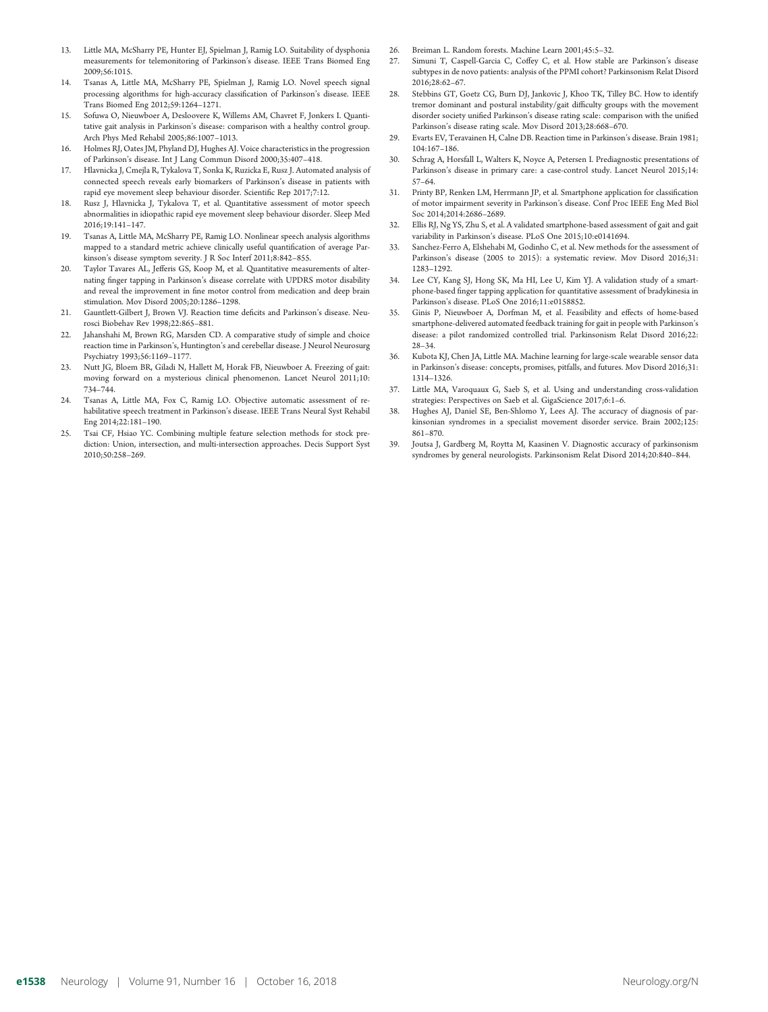- Little MA, McSharry PE, Hunter EJ, Spielman J, Ramig LO. Suitability of dysphonia measurements for telemonitoring of Parkinson's disease. IEEE Trans Biomed Eng 2009;56:1015.
- 14. Tsanas A, Little MA, McSharry PE, Spielman J, Ramig LO. Novel speech signal processing algorithms for high-accuracy classification of Parkinson's disease. IEEE Trans Biomed Eng 2012;59:1264–1271.
- 15. Sofuwa O, Nieuwboer A, Desloovere K, Willems AM, Chavret F, Jonkers I. Quantitative gait analysis in Parkinson's disease: comparison with a healthy control group. Arch Phys Med Rehabil 2005;86:1007–1013.
- 16. Holmes RJ, Oates JM, Phyland DJ, Hughes AJ. Voice characteristics in the progression of Parkinson's disease. Int J Lang Commun Disord 2000;35:407–418.
- 17. Hlavnicka J, Cmejla R, Tykalova T, Sonka K, Ruzicka E, Rusz J. Automated analysis of connected speech reveals early biomarkers of Parkinson's disease in patients with rapid eye movement sleep behaviour disorder. Scientific Rep 2017;7:12.
- 18. Rusz J, Hlavnicka J, Tykalova T, et al. Quantitative assessment of motor speech abnormalities in idiopathic rapid eye movement sleep behaviour disorder. Sleep Med 2016;19:141–147.
- 19. Tsanas A, Little MA, McSharry PE, Ramig LO. Nonlinear speech analysis algorithms mapped to a standard metric achieve clinically useful quantification of average Parkinson's disease symptom severity. J R Soc Interf 2011;8:842–855.
- 20. Taylor Tavares AL, Jefferis GS, Koop M, et al. Quantitative measurements of alternating finger tapping in Parkinson's disease correlate with UPDRS motor disability and reveal the improvement in fine motor control from medication and deep brain stimulation. Mov Disord 2005;20:1286–1298.
- 21. Gauntlett-Gilbert J, Brown VJ. Reaction time deficits and Parkinson's disease. Neurosci Biobehav Rev 1998;22:865–881.
- 22. Jahanshahi M, Brown RG, Marsden CD. A comparative study of simple and choice reaction time in Parkinson's, Huntington's and cerebellar disease. J Neurol Neurosurg Psychiatry 1993;56:1169–1177.
- 23. Nutt JG, Bloem BR, Giladi N, Hallett M, Horak FB, Nieuwboer A. Freezing of gait: moving forward on a mysterious clinical phenomenon. Lancet Neurol 2011;10: 734–744.
- 24. Tsanas A, Little MA, Fox C, Ramig LO. Objective automatic assessment of rehabilitative speech treatment in Parkinson's disease. IEEE Trans Neural Syst Rehabil Eng 2014;22:181–190.
- 25. Tsai CF, Hsiao YC. Combining multiple feature selection methods for stock prediction: Union, intersection, and multi-intersection approaches. Decis Support Syst 2010;50:258–269.
- 26. Breiman L. Random forests. Machine Learn 2001;45:5–32.
- 27. Simuni T, Caspell-Garcia C, Coffey C, et al. How stable are Parkinson's disease subtypes in de novo patients: analysis of the PPMI cohort? Parkinsonism Relat Disord 2016;28:62–67.
- 28. Stebbins GT, Goetz CG, Burn DJ, Jankovic J, Khoo TK, Tilley BC. How to identify tremor dominant and postural instability/gait difficulty groups with the movement disorder society unified Parkinson's disease rating scale: comparison with the unified Parkinson's disease rating scale. Mov Disord 2013;28:668–670.
- 29. Evarts EV, Teravainen H, Calne DB. Reaction time in Parkinson's disease. Brain 1981; 104:167–186.
- 30. Schrag A, Horsfall L, Walters K, Noyce A, Petersen I. Prediagnostic presentations of Parkinson's disease in primary care: a case-control study. Lancet Neurol 2015;14: 57–64.
- 31. Printy BP, Renken LM, Herrmann JP, et al. Smartphone application for classification of motor impairment severity in Parkinson's disease. Conf Proc IEEE Eng Med Biol Soc 2014;2014:2686–2689.
- 32. Ellis RJ, Ng YS, Zhu S, et al. A validated smartphone-based assessment of gait and gait variability in Parkinson's disease. PLoS One 2015;10:e0141694.
- 33. Sanchez-Ferro A, Elshehabi M, Godinho C, et al. New methods for the assessment of Parkinson's disease (2005 to 2015): a systematic review. Mov Disord 2016;31: 1283–1292.
- 34. Lee CY, Kang SJ, Hong SK, Ma HI, Lee U, Kim YJ. A validation study of a smartphone-based finger tapping application for quantitative assessment of bradykinesia in Parkinson's disease. PLoS One 2016;11:e0158852.
- 35. Ginis P, Nieuwboer A, Dorfman M, et al. Feasibility and effects of home-based smartphone-delivered automated feedback training for gait in people with Parkinson's disease: a pilot randomized controlled trial. Parkinsonism Relat Disord 2016;22: 28–34.
- 36. Kubota KJ, Chen JA, Little MA. Machine learning for large-scale wearable sensor data in Parkinson's disease: concepts, promises, pitfalls, and futures. Mov Disord 2016;31: 1314–1326.
- 37. Little MA, Varoquaux G, Saeb S, et al. Using and understanding cross-validation strategies: Perspectives on Saeb et al. GigaScience 2017;6:1–6.
- 38. Hughes AJ, Daniel SE, Ben-Shlomo Y, Lees AJ. The accuracy of diagnosis of parkinsonian syndromes in a specialist movement disorder service. Brain 2002;125: 861–870.
- 39. Joutsa J, Gardberg M, Roytta M, Kaasinen V. Diagnostic accuracy of parkinsonism syndromes by general neurologists. Parkinsonism Relat Disord 2014;20:840–844.